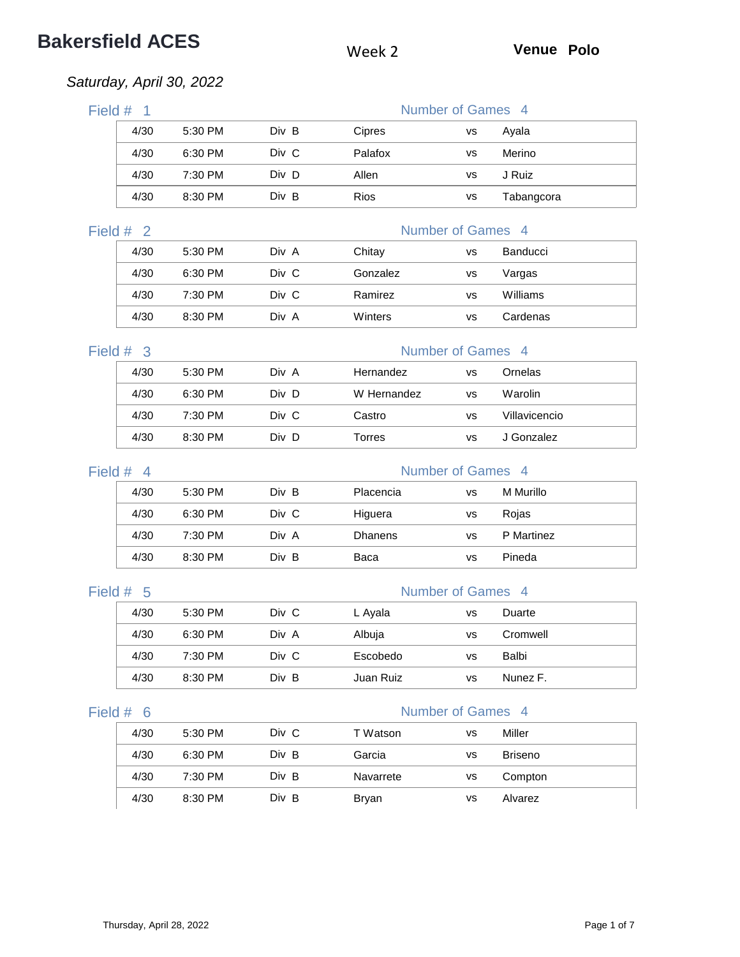# **Bakersfield ACES** Week 2 **Venue Polo**

## *Saturday, April 30, 2022*

| Field $#$ 1 |           |       |         | Number of Games 4 |            |  |
|-------------|-----------|-------|---------|-------------------|------------|--|
| 4/30        | 5:30 PM   | Div B | Cipres  | vs                | Ayala      |  |
| 4/30        | 6:30 PM   | Div C | Palafox | vs                | Merino     |  |
| 4/30        | $7:30$ PM | Div D | Allen   | vs                | J Ruiz     |  |
| 4/30        | 8:30 PM   | Div B | Rios    | vs                | Tabangcora |  |
|             |           |       |         |                   |            |  |

### Field # 2 Number of Games 4

| 4/30 | 5:30 PM | Div A | Chitay   | vs | <b>Banducci</b> |  |
|------|---------|-------|----------|----|-----------------|--|
| 4/30 | 6:30 PM | Div C | Gonzalez | vs | Vargas          |  |
| 4/30 | 7:30 PM | Div C | Ramirez  | vs | Williams        |  |
| 4/30 | 8:30 PM | Div A | Winters  | vs | Cardenas        |  |

### Field  $\#$  3  $\Box$

| <b>Number of Games</b> |  |  |
|------------------------|--|--|
|                        |  |  |

| 4/30 | 5:30 PM | Div A | Hernandez   | vs | Ornelas       |
|------|---------|-------|-------------|----|---------------|
| 4/30 | 6:30 PM | Div D | W Hernandez | vs | Warolin       |
| 4/30 | 7:30 PM | Div C | Castro      | vs | Villavicencio |
| 4/30 | 8:30 PM | Div D | Torres      | vs | J Gonzalez    |

| Field $#$ 4 |           |       |                | Number of Games 4 |            |  |
|-------------|-----------|-------|----------------|-------------------|------------|--|
| 4/30        | 5:30 PM   | Div B | Placencia      | vs                | M Murillo  |  |
| 4/30        | 6:30 PM   | Div C | Higuera        | vs                | Rojas      |  |
| 4/30        | 7:30 PM   | Div A | <b>Dhanens</b> | vs                | P Martinez |  |
| 4/30        | $8:30$ PM | Div B | Baca           | vs                | Pineda     |  |

### Field # 5 Number of Games 4

| 4/30 | 5:30 PM | Div C | L Ayala   | vs        | Duarte   |
|------|---------|-------|-----------|-----------|----------|
| 4/30 | 6:30 PM | Div A | Albuja    | vs        | Cromwell |
| 4/30 | 7:30 PM | Div C | Escobedo  | <b>VS</b> | Balbi    |
| 4/30 | 8:30 PM | Div B | Juan Ruiz | vs        | Nunez F. |

| 4/30 | 5:30 PM | Div C | T Watson  | vs | Miller  |
|------|---------|-------|-----------|----|---------|
| 4/30 | 6:30 PM | Div B | Garcia    | vs | Briseno |
| 4/30 | 7:30 PM | Div B | Navarrete | vs | Compton |
| 4/30 | 8:30 PM | Div B | Bryan     | vs | Alvarez |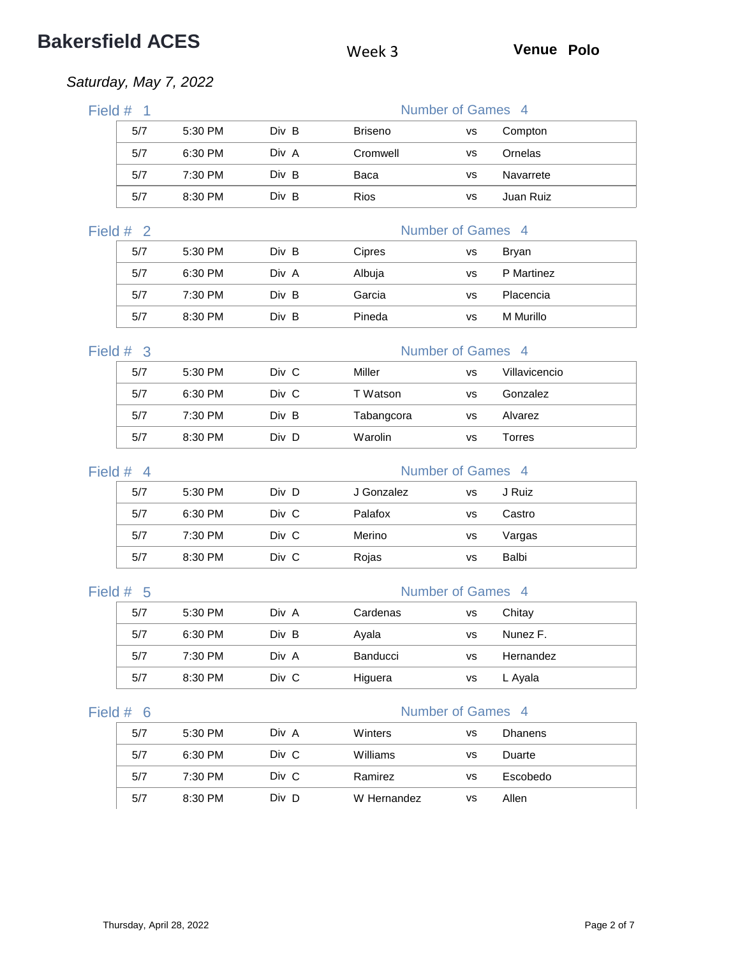# **Bakersfield ACES** Week 3 **Venue Polo**

## *Saturday, May 7, 2022*

| Field #<br>$\overline{1}$ |         |       |                | Number of Games 4 |               |
|---------------------------|---------|-------|----------------|-------------------|---------------|
| 5/7                       | 5:30 PM | Div B | <b>Briseno</b> | <b>VS</b>         | Compton       |
| 5/7                       | 6:30 PM | Div A | Cromwell       | <b>VS</b>         | Ornelas       |
| 5/7                       | 7:30 PM | Div B | Baca           | <b>VS</b>         | Navarrete     |
| 5/7                       | 8:30 PM | Div B | <b>Rios</b>    | <b>VS</b>         | Juan Ruiz     |
| Field #<br>$\overline{2}$ |         |       |                | Number of Games 4 |               |
| 5/7                       | 5:30 PM | Div B | Cipres         | <b>VS</b>         | Bryan         |
| 5/7                       | 6:30 PM | Div A | Albuja         | <b>VS</b>         | P Martinez    |
| 5/7                       | 7:30 PM | Div B | Garcia         | <b>VS</b>         | Placencia     |
| 5/7                       | 8:30 PM | Div B | Pineda         | <b>VS</b>         | M Murillo     |
| Field #<br>$\mathbf{3}$   |         |       |                | Number of Games 4 |               |
| 5/7                       | 5:30 PM | Div C | Miller         | <b>VS</b>         | Villavicencio |
| 5/7                       | 6:30 PM | Div C | T Watson       | <b>VS</b>         | Gonzalez      |
| 5/7                       | 7:30 PM | Div B | Tabangcora     | <b>VS</b>         | Alvarez       |
| 5/7                       | 8:30 PM | Div D | Warolin        | <b>VS</b>         | Torres        |
| Field #<br>$\overline{4}$ |         |       |                | Number of Games 4 |               |
| 5/7                       | 5:30 PM | Div D | J Gonzalez     | <b>VS</b>         | J Ruiz        |
| 5/7                       | 6:30 PM | Div C | Palafox        | <b>VS</b>         | Castro        |
| 5/7                       | 7:30 PM | Div C | Merino         | <b>VS</b>         | Vargas        |
| 5/7                       | 8:30 PM | Div C | Rojas          | <b>VS</b>         | <b>Balbi</b>  |

### Field # 5 Number of Games 4

| 5/7 | 5:30 PM | Div A | Cardenas        | vs | Chitay    |
|-----|---------|-------|-----------------|----|-----------|
| 5/7 | 6:30 PM | Div B | Ayala           | vs | Nunez F.  |
| 5/7 | 7:30 PM | Div A | <b>Banducci</b> | vs | Hernandez |
| 5/7 | 8:30 PM | Div C | Higuera         | vs | L Ayala   |

| 5/7 | $5:30$ PM | Div A | Winters     | vs | <b>Dhanens</b> |
|-----|-----------|-------|-------------|----|----------------|
| 5/7 | 6:30 PM   | Div C | Williams    | vs | Duarte         |
| 5/7 | 7:30 PM   | Div C | Ramirez     | vs | Escobedo       |
| 5/7 | 8:30 PM   | Div D | W Hernandez | vs | Allen          |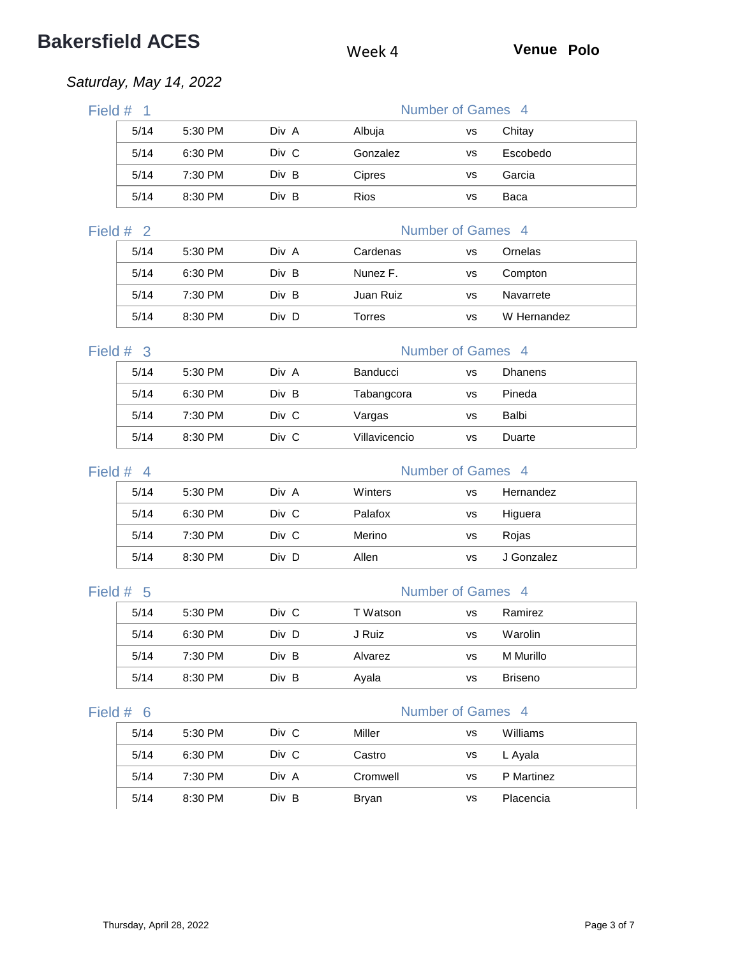# **Bakersfield ACES** Week 4 **Venue Polo**

## *Saturday, May 14, 2022*

| Field #<br>- 1 |            |         |       |             | Number of Games 4 |          |  |  |
|----------------|------------|---------|-------|-------------|-------------------|----------|--|--|
|                | 5/14       | 5:30 PM | Div A | Albuja      | vs                | Chitay   |  |  |
|                | 5/14       | 6:30 PM | Div C | Gonzalez    | <b>VS</b>         | Escobedo |  |  |
|                | 5/14       | 7:30 PM | Div B | Cipres      | <b>VS</b>         | Garcia   |  |  |
|                | 5/14       | 8:30 PM | Div B | <b>Rios</b> | <b>VS</b>         | Baca     |  |  |
|                | Field $#2$ |         |       |             | Number of Games 4 |          |  |  |

| 5/14 | $5:30$ PM | Div A | Cardenas  | vs        | Ornelas     |
|------|-----------|-------|-----------|-----------|-------------|
| 5/14 | 6:30 PM   | Div B | Nunez F.  | <b>VS</b> | Compton     |
| 5/14 | 7:30 PM   | Div B | Juan Ruiz | vs        | Navarrete   |
| 5/14 | $8:30$ PM | Div D | Torres    | vs        | W Hernandez |

# Field # 3 Number of Games 4

| 5/14 | 5:30 PM | Div A | <b>Banducci</b> | vs | Dhanens |
|------|---------|-------|-----------------|----|---------|
| 5/14 | 6:30 PM | Div B | Tabangcora      | vs | Pineda  |
| 5/14 | 7:30 PM | Div C | Vargas          | vs | Balbi   |
| 5/14 | 8:30 PM | Div C | Villavicencio   | vs | Duarte  |

| Field #<br>$\overline{4}$ |         |       |         | Number of Games 4 |            |  |
|---------------------------|---------|-------|---------|-------------------|------------|--|
| 5/14                      | 5:30 PM | Div A | Winters | vs                | Hernandez  |  |
| 5/14                      | 6:30 PM | Div C | Palafox | vs                | Higuera    |  |
| 5/14                      | 7:30 PM | Div C | Merino  | vs                | Rojas      |  |
| 5/14                      | 8:30 PM | Div D | Allen   | VS                | J Gonzalez |  |

### Field # 5 Number of Games 4

| 5/14 | 5:30 PM | Div C | T Watson | <b>VS</b> | Ramirez        |
|------|---------|-------|----------|-----------|----------------|
| 5/14 | 6:30 PM | Div D | J Ruiz   | vs        | Warolin        |
| 5/14 | 7:30 PM | Div B | Alvarez  | <b>VS</b> | M Murillo      |
| 5/14 | 8:30 PM | Div B | Ayala    | vs        | <b>Briseno</b> |

| 5/14 | 5:30 PM | Div C | Miller   | vs | Williams   |
|------|---------|-------|----------|----|------------|
| 5/14 | 6:30 PM | Div C | Castro   | vs | L Ayala    |
| 5/14 | 7:30 PM | Div A | Cromwell | vs | P Martinez |
| 5/14 | 8:30 PM | Div B | Bryan    | vs | Placencia  |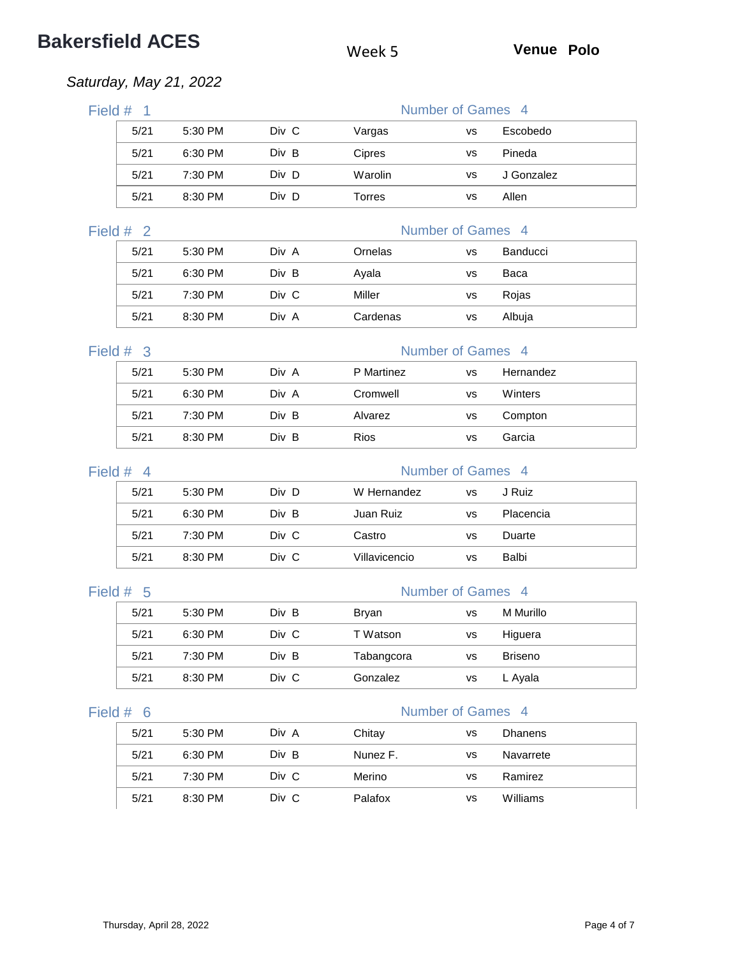# **Bakersfield ACES** Week 5 **Venue Polo**

## *Saturday, May 21, 2022*

| Field $#$ 1                     |         |       |               | Number of Games 4 |            |  |
|---------------------------------|---------|-------|---------------|-------------------|------------|--|
| 5/21                            | 5:30 PM | Div C | Vargas        | <b>VS</b>         | Escobedo   |  |
| 5/21                            | 6:30 PM | Div B | Cipres        | <b>VS</b>         | Pineda     |  |
| 5/21                            | 7:30 PM | Div D | Warolin       | <b>VS</b>         | J Gonzalez |  |
| 5/21                            | 8:30 PM | Div D | <b>Torres</b> | <b>VS</b>         | Allen      |  |
| Number of Games 4<br>Field $#2$ |         |       |               |                   |            |  |
| 5/21                            | 5:30 PM | Div A | Ornelas       | <b>VS</b>         | Banducci   |  |
| 5/21                            | 6:30 PM | Div B | Ayala         | <b>VS</b>         | Baca       |  |
| 5/21                            | 7:30 PM | Div C | Miller        | <b>VS</b>         | Rojas      |  |
| 5/21                            | 8:30 PM | Div A | Cardenas      | <b>VS</b>         | Albuja     |  |

# Field # 3 Number of Games 4

| 5/21 | 5:30 PM | Div A | P Martinez | <b>VS</b> | Hernandez |
|------|---------|-------|------------|-----------|-----------|
| 5/21 | 6:30 PM | Div A | Cromwell   | vs        | Winters   |
| 5/21 | 7:30 PM | Div B | Alvarez    | <b>VS</b> | Compton   |
| 5/21 | 8:30 PM | Div B | Rios       | vs        | Garcia    |

| Field $#$ 4 |           |       | Number of Games 4 |           |           |  |
|-------------|-----------|-------|-------------------|-----------|-----------|--|
| 5/21        | 5:30 PM   | Div D | W Hernandez       | <b>VS</b> | J Ruiz    |  |
| 5/21        | 6:30 PM   | Div B | Juan Ruiz         | VS        | Placencia |  |
| 5/21        | 7:30 PM   | Div C | Castro            | vs        | Duarte    |  |
| 5/21        | $8:30$ PM | Div C | Villavicencio     | vs        | Balbi     |  |

### Field # 5 Number of Games 4

| 5/21 | 5:30 PM | Div B | Bryan      | vs | M Murillo      |
|------|---------|-------|------------|----|----------------|
| 5/21 | 6:30 PM | Div C | T Watson   | vs | Higuera        |
| 5/21 | 7:30 PM | Div B | Tabangcora | vs | <b>Briseno</b> |
| 5/21 | 8:30 PM | Div C | Gonzalez   | vs | L Ayala        |

| 5/21 | 5:30 PM | Div A | Chitay   | vs        | <b>Dhanens</b> |  |
|------|---------|-------|----------|-----------|----------------|--|
| 5/21 | 6:30 PM | Div B | Nunez F. | <b>VS</b> | Navarrete      |  |
| 5/21 | 7:30 PM | Div C | Merino   | vs        | Ramirez        |  |
| 5/21 | 8:30 PM | Div C | Palafox  | vs        | Williams       |  |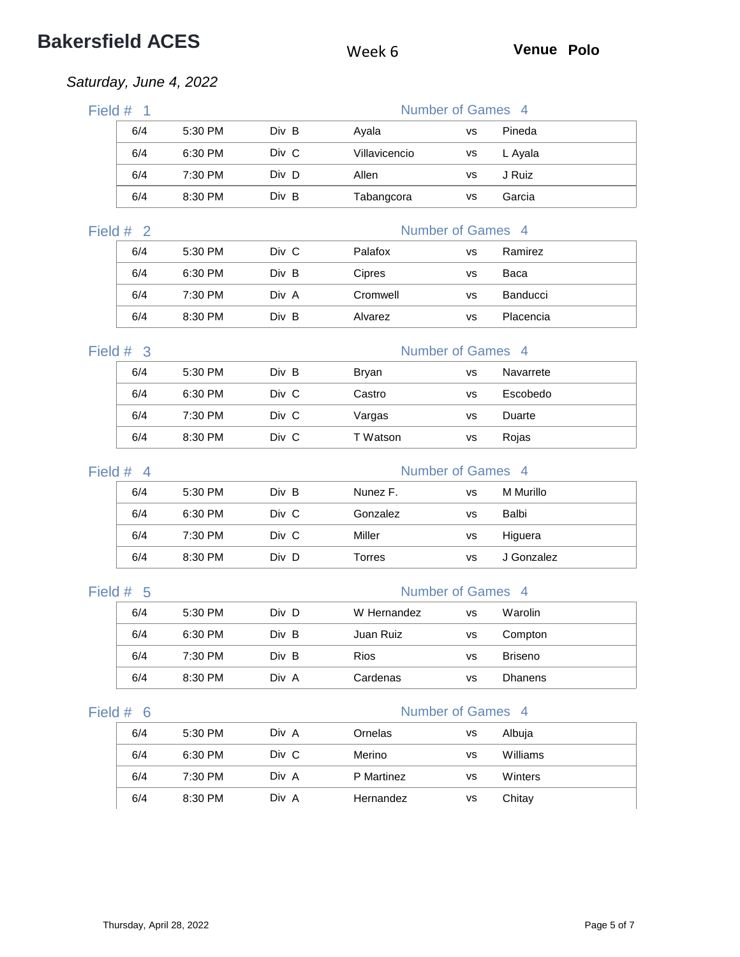# **Bakersfield ACES** Week 6 **Venue Polo**

## *Saturday, June 4, 2022*

| Field # | -1          |         |       |               | Number of Games 4 |           |
|---------|-------------|---------|-------|---------------|-------------------|-----------|
|         | 6/4         | 5:30 PM | Div B | Ayala         | <b>VS</b>         | Pineda    |
|         | 6/4         | 6:30 PM | Div C | Villavicencio | <b>VS</b>         | L Ayala   |
|         | 6/4         | 7:30 PM | Div D | Allen         | <b>VS</b>         | J Ruiz    |
|         | 6/4         | 8:30 PM | Div B | Tabangcora    | <b>VS</b>         | Garcia    |
|         | Field $#2$  |         |       |               | Number of Games 4 |           |
|         | 6/4         | 5:30 PM | Div C | Palafox       | <b>VS</b>         | Ramirez   |
|         | 6/4         | 6:30 PM | Div B | Cipres        | <b>VS</b>         | Baca      |
|         | 6/4         | 7:30 PM | Div A | Cromwell      | <b>VS</b>         | Banducci  |
|         | 6/4         | 8:30 PM | Div B | Alvarez       | <b>VS</b>         | Placencia |
|         | Field $#$ 3 |         |       |               | Number of Games 4 |           |
|         | 6/4         | 5:30 PM | Div B | <b>Bryan</b>  | <b>VS</b>         | Navarrete |
|         | 6/4         | 6:30 PM | Div C | Castro        | <b>VS</b>         | Escobedo  |
|         | 6/4         | 7:30 PM | Div C | Vargas        | <b>VS</b>         | Duarte    |
|         | 6/4         | 8:30 PM | Div C | T Watson      | <b>VS</b>         | Rojas     |
|         |             |         |       |               |                   |           |

| Field $#$ 4 |     |           |       |          | Number of Games 4 |            |  |
|-------------|-----|-----------|-------|----------|-------------------|------------|--|
|             | 6/4 | 5:30 PM   | Div B | Nunez F. | vs                | M Murillo  |  |
|             | 6/4 | 6:30 PM   | Div C | Gonzalez | vs                | Balbi      |  |
|             | 6/4 | $7:30$ PM | Div C | Miller   | vs                | Higuera    |  |
|             | 6/4 | 8:30 PM   | Div D | Torres   | vs                | J Gonzalez |  |

# Field # 5 Number of Games 4 6/4 5:30 PM Div D W Hernandez vs Warolin 6/4 6:30 PM Div B Juan Ruiz vs Compton 6/4 7:30 PM Div B Rios vs Briseno 6/4 8:30 PM Div A Cardenas vs Dhanens

| 6/4 | 5:30 PM | Div A | Ornelas    | vs | Albuja   |
|-----|---------|-------|------------|----|----------|
| 6/4 | 6:30 PM | Div C | Merino     | vs | Williams |
| 6/4 | 7:30 PM | Div A | P Martinez | vs | Winters  |
| 6/4 | 8:30 PM | Div A | Hernandez  | vs | Chitay   |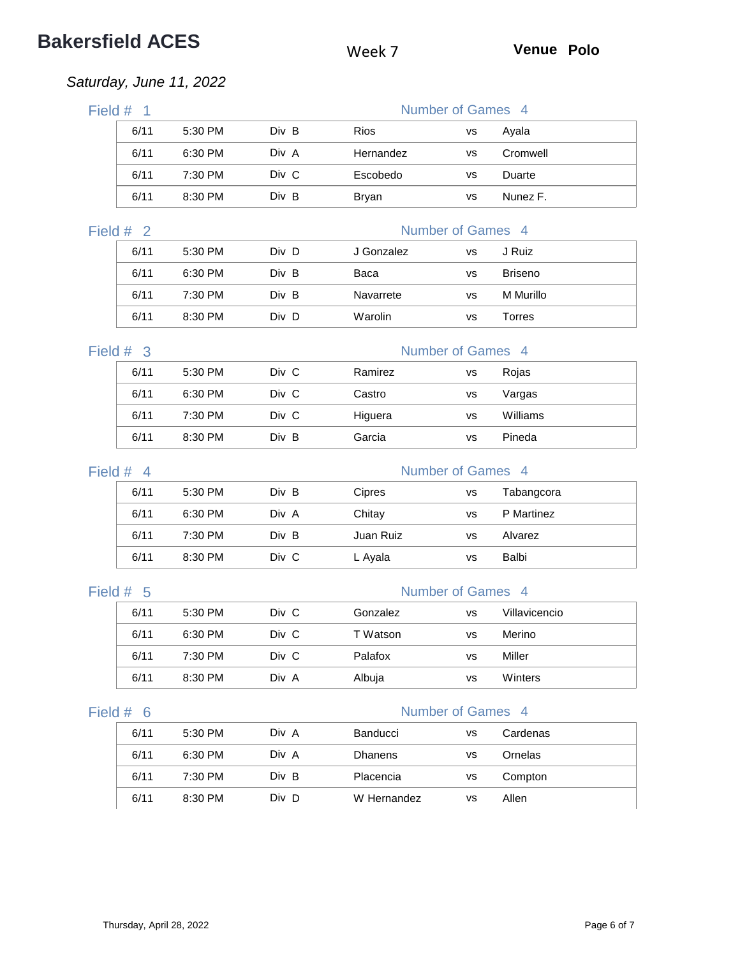# **Bakersfield ACES** Week 7 **Venue Polo**

## *Saturday, June 11, 2022*

| Field $#$<br>$\overline{1}$ |      |         |       | Number of Games 4 |           |          |  |
|-----------------------------|------|---------|-------|-------------------|-----------|----------|--|
|                             | 6/11 | 5:30 PM | Div B | <b>Rios</b>       | vs        | Ayala    |  |
|                             | 6/11 | 6:30 PM | Div A | Hernandez         | <b>VS</b> | Cromwell |  |
|                             | 6/11 | 7:30 PM | Div C | Escobedo          | vs        | Duarte   |  |
|                             | 6/11 | 8:30 PM | Div B | Bryan             | <b>VS</b> | Nunez F. |  |
| Field $#2$                  |      |         |       | Number of Games 4 |           |          |  |
|                             | 6/11 | 5:30 PM | Div D | J Gonzalez        | <b>VS</b> | J Ruiz   |  |

| .    | ------  |       | --------  |    | -              |  |
|------|---------|-------|-----------|----|----------------|--|
| 6/11 | 6:30 PM | Div B | Baca      | vs | <b>Briseno</b> |  |
| 6/11 | 7:30 PM | Div B | Navarrete | vs | M Murillo      |  |
| 6/11 | 8:30 PM | Div D | Warolin   | vs | Torres         |  |

| Field $#$ 3 |      |           |       |         | Number of Games 4 |          |  |
|-------------|------|-----------|-------|---------|-------------------|----------|--|
|             | 6/11 | 5:30 PM   | Div C | Ramirez | VS                | Rojas    |  |
|             | 6/11 | 6:30 PM   | Div C | Castro  | VS                | Vargas   |  |
|             | 6/11 | $7:30$ PM | Div C | Higuera | vs                | Williams |  |
|             | 6/11 | 8:30 PM   | Div B | Garcia  | vs                | Pineda   |  |

| Field $#$ 4 |      |           |       |           | Number of Games 4 |            |  |
|-------------|------|-----------|-------|-----------|-------------------|------------|--|
|             | 6/11 | 5:30 PM   | Div B | Cipres    | vs                | Tabangcora |  |
|             | 6/11 | 6:30 PM   | Div A | Chitay    | vs                | P Martinez |  |
|             | 6/11 | $7:30$ PM | Div B | Juan Ruiz | vs                | Alvarez    |  |
|             | 6/11 | 8:30 PM   | Div C | L Ayala   | VS                | Balbi      |  |

### Field # 5 Number of Games 4

| 6/11 | $5:30$ PM | Div C | Gonzalez | vs | Villavicencio |
|------|-----------|-------|----------|----|---------------|
| 6/11 | 6:30 PM   | Div C | T Watson | vs | Merino        |
| 6/11 | 7:30 PM   | Div C | Palafox  | vs | Miller        |
| 6/11 | 8:30 PM   | Div A | Albuja   | vs | Winters       |

| 6/11 | $5:30$ PM | Div A | Banducci       | vs        | Cardenas |  |
|------|-----------|-------|----------------|-----------|----------|--|
| 6/11 | 6:30 PM   | Div A | <b>Dhanens</b> | vs        | Ornelas  |  |
| 6/11 | 7:30 PM   | Div B | Placencia      | vs        | Compton  |  |
| 6/11 | 8:30 PM   | Div D | W Hernandez    | <b>VS</b> | Allen    |  |